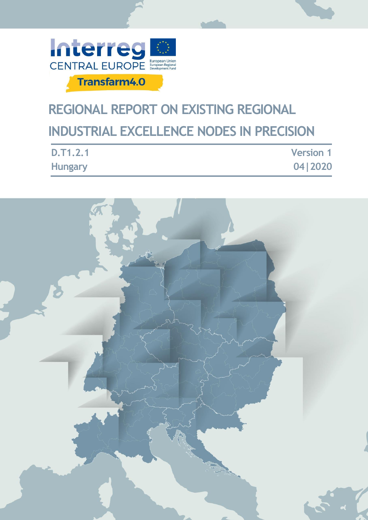

# **REGIONAL REPORT ON EXISTING REGIONAL INDUSTRIAL EXCELLENCE NODES IN PRECISION**

| <b>D.T1.2.1</b> | <b>Version 1</b> |
|-----------------|------------------|
| <b>Hungary</b>  | 04 2020          |

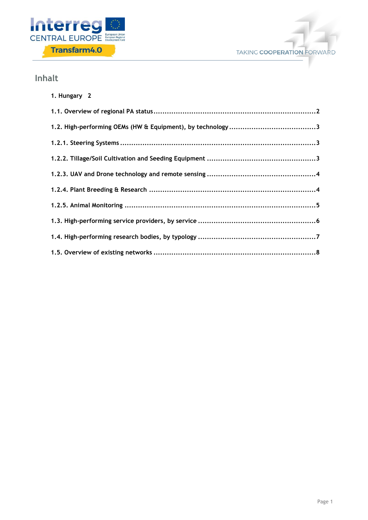



# **Inhalt**

| 1. Hungary 2 |
|--------------|
|              |
|              |
|              |
|              |
|              |
|              |
|              |
|              |
|              |
|              |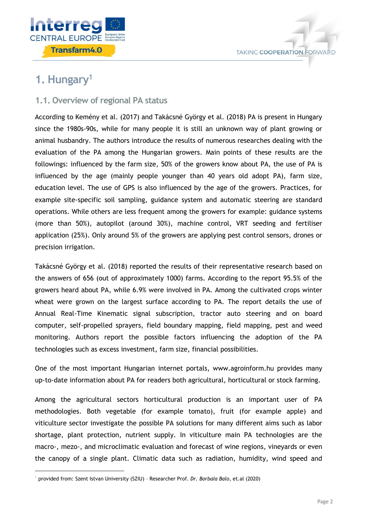



# <span id="page-2-0"></span>**1. Hungary<sup>1</sup>**

1

# <span id="page-2-1"></span>**1.1. Overview of regional PA status**

According to Kemény et al. (2017) and Takácsné György et al. (2018) PA is present in Hungary since the 1980s-90s, while for many people it is still an unknown way of plant growing or animal husbandry. The authors introduce the results of numerous researches dealing with the evaluation of the PA among the Hungarian growers. Main points of these results are the followings: influenced by the farm size, 50% of the growers know about PA, the use of PA is influenced by the age (mainly people younger than 40 years old adopt PA), farm size, education level. The use of GPS is also influenced by the age of the growers. Practices, for example site-specific soil sampling, guidance system and automatic steering are standard operations. While others are less frequent among the growers for example: guidance systems (more than 50%), autopilot (around 30%), machine control, VRT seeding and fertiliser application (25%). Only around 5% of the growers are applying pest control sensors, drones or precision irrigation.

Takácsné György et al. (2018) reported the results of their representative research based on the answers of 656 (out of approximately 1000) farms. According to the report 95.5% of the growers heard about PA, while 6.9% were involved in PA. Among the cultivated crops winter wheat were grown on the largest surface according to PA. The report details the use of Annual Real-Time Kinematic signal subscription, tractor auto steering and on board computer, self-propelled sprayers, field boundary mapping, field mapping, pest and weed monitoring. Authors report the possible factors influencing the adoption of the PA technologies such as excess investment, farm size, financial possibilities.

One of the most important Hungarian internet portals, www.agroinform.hu provides many up-to-date information about PA for readers both agricultural, horticultural or stock farming.

Among the agricultural sectors horticultural production is an important user of PA methodologies. Both vegetable (for example tomato), fruit (for example apple) and viticulture sector investigate the possible PA solutions for many different aims such as labor shortage, plant protection, nutrient supply. In viticulture main PA technologies are the macro-, mezo-, and microclimatic evaluation and forecast of wine regions, vineyards or even the canopy of a single plant. Climatic data such as radiation, humidity, wind speed and

<sup>1</sup> provided from: Szent Istvan University (SZIU) – Researcher Prof. *Dr. Borbala Balo*, et.al (2020)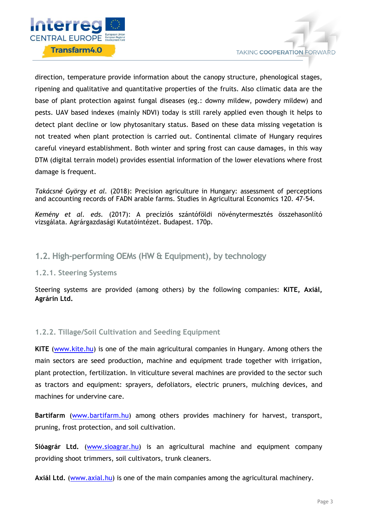

direction, temperature provide information about the canopy structure, phenological stages, ripening and qualitative and quantitative properties of the fruits. Also climatic data are the base of plant protection against fungal diseases (eg.: downy mildew, powdery mildew) and pests. UAV based indexes (mainly NDVI) today is still rarely applied even though it helps to detect plant decline or low phytosanitary status. Based on these data missing vegetation is not treated when plant protection is carried out. Continental climate of Hungary requires careful vineyard establishment. Both winter and spring frost can cause damages, in this way DTM (digital terrain model) provides essential information of the lower elevations where frost damage is frequent.

*Takácsné György et al.* (2018): Precision agriculture in Hungary: assessment of perceptions and accounting records of FADN arable farms. Studies in Agricultural Economics 120. 47-54.

*Kemény et al. eds.* (2017): A precíziós szántóföldi növénytermesztés összehasonlító vizsgálata. Agrárgazdasági Kutatóintézet. Budapest. 170p.

### <span id="page-3-0"></span>**1.2. High-performing OEMs (HW & Equipment), by technology**

#### <span id="page-3-1"></span>**1.2.1. Steering Systems**

Steering systems are provided (among others) by the following companies: **KITE, Axiál, Agrárin Ltd.**

#### <span id="page-3-2"></span>**1.2.2. Tillage/Soil Cultivation and Seeding Equipment**

**KITE** [\(www.kite.hu\)](http://www.kite.hu/) is one of the main agricultural companies in Hungary. Among others the main sectors are seed production, machine and equipment trade together with irrigation, plant protection, fertilization. In viticulture several machines are provided to the sector such as tractors and equipment: sprayers, defoliators, electric pruners, mulching devices, and machines for undervine care.

**Bartifarm** [\(www.bartifarm.hu\)](http://www.bartifarm.hu/) among others provides machinery for harvest, transport, pruning, frost protection, and soil cultivation.

**Sióagrár Ltd.** [\(www.sioagrar.hu\)](http://www.sioagrar.hu/) is an agricultural machine and equipment company providing shoot trimmers, soil cultivators, trunk cleaners.

**Axiál Ltd.** [\(www.axial.hu\)](http://www.axial.hu/) is one of the main companies among the agricultural machinery.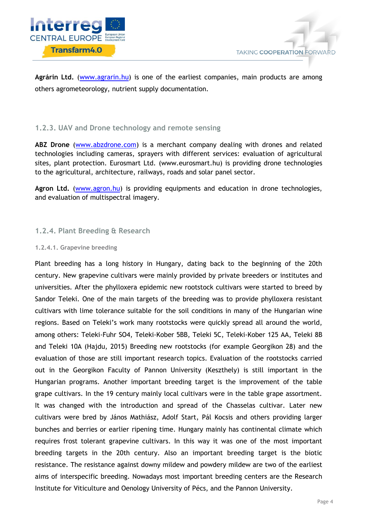

Agrárin Ltd. [\(www.agrarin.hu\)](http://www.agrarin.hu/) is one of the earliest companies, main products are among others agrometeorology, nutrient supply documentation.

#### <span id="page-4-0"></span>**1.2.3. UAV and Drone technology and remote sensing**

**ABZ Drone** [\(www.abzdrone.com\)](http://www.abzdrone.com/) is a merchant company dealing with drones and related technologies including cameras, sprayers with different services: evaluation of agricultural sites, plant protection. Eurosmart Ltd. (www.eurosmart.hu) is providing drone technologies to the agricultural, architecture, railways, roads and solar panel sector.

Agron Ltd. [\(www.agron.hu\)](http://www.agron.hu/) is providing equipments and education in drone technologies, and evaluation of multispectral imagery.

#### <span id="page-4-1"></span>**1.2.4. Plant Breeding & Research**

#### **1.2.4.1. Grapevine breeding**

Plant breeding has a long history in Hungary, dating back to the beginning of the 20th century. New grapevine cultivars were mainly provided by private breeders or institutes and universities. After the phylloxera epidemic new rootstock cultivars were started to breed by Sandor Teleki. One of the main targets of the breeding was to provide phylloxera resistant cultivars with lime tolerance suitable for the soil conditions in many of the Hungarian wine regions. Based on Teleki's work many rootstocks were quickly spread all around the world, among others: Teleki-Fuhr SO4, Teleki-Kober 5BB, Teleki 5C, Teleki-Kober 125 AA, Teleki 8B and Teleki 10A (Hajdu, 2015) Breeding new rootstocks (for example Georgikon 28) and the evaluation of those are still important research topics. Evaluation of the rootstocks carried out in the Georgikon Faculty of Pannon University (Keszthely) is still important in the Hungarian programs. Another important breeding target is the improvement of the table grape cultivars. In the 19 century mainly local cultivars were in the table grape assortment. It was changed with the introduction and spread of the Chasselas cultivar. Later new cultivars were bred by János Mathiász, Adolf Start, Pál Kocsis and others providing larger bunches and berries or earlier ripening time. Hungary mainly has continental climate which requires frost tolerant grapevine cultivars. In this way it was one of the most important breeding targets in the 20th century. Also an important breeding target is the biotic resistance. The resistance against downy mildew and powdery mildew are two of the earliest aims of interspecific breeding. Nowadays most important breeding centers are the Research Institute for Viticulture and Oenology University of Pécs, and the Pannon University.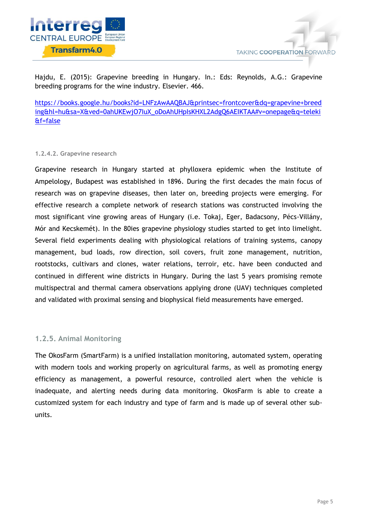

Hajdu, E. (2015): Grapevine breeding in Hungary. In.: Eds: Reynolds, A.G.: Grapevine breeding programs for the wine industry. Elsevier. 466.

[https://books.google.hu/books?id=LNFzAwAAQBAJ&printsec=frontcover&dq=grapevine+breed](https://books.google.hu/books?id=LNFzAwAAQBAJ&printsec=frontcover&dq=grapevine+breeding&hl=hu&sa=X&ved=0ahUKEwjO7IuX_oDoAhUHpIsKHXL2AdgQ6AEIKTAA#v=onepage&q=teleki&f=false) [ing&hl=hu&sa=X&ved=0ahUKEwjO7IuX\\_oDoAhUHpIsKHXL2AdgQ6AEIKTAA#v=onepage&q=teleki](https://books.google.hu/books?id=LNFzAwAAQBAJ&printsec=frontcover&dq=grapevine+breeding&hl=hu&sa=X&ved=0ahUKEwjO7IuX_oDoAhUHpIsKHXL2AdgQ6AEIKTAA#v=onepage&q=teleki&f=false) [&f=false](https://books.google.hu/books?id=LNFzAwAAQBAJ&printsec=frontcover&dq=grapevine+breeding&hl=hu&sa=X&ved=0ahUKEwjO7IuX_oDoAhUHpIsKHXL2AdgQ6AEIKTAA#v=onepage&q=teleki&f=false)

#### **1.2.4.2. Grapevine research**

Grapevine research in Hungary started at phylloxera epidemic when the Institute of Ampelology, Budapest was established in 1896. During the first decades the main focus of research was on grapevine diseases, then later on, breeding projects were emerging. For effective research a complete network of research stations was constructed involving the most significant vine growing areas of Hungary (i.e. Tokaj, Eger, Badacsony, Pécs-Villány, Mór and Kecskemét). In the 80ies grapevine physiology studies started to get into limelight. Several field experiments dealing with physiological relations of training systems, canopy management, bud loads, row direction, soil covers, fruit zone management, nutrition, rootstocks, cultivars and clones, water relations, terroir, etc. have been conducted and continued in different wine districts in Hungary. During the last 5 years promising remote multispectral and thermal camera observations applying drone (UAV) techniques completed and validated with proximal sensing and biophysical field measurements have emerged.

#### <span id="page-5-0"></span>**1.2.5. Animal Monitoring**

The OkosFarm (SmartFarm) is a unified installation monitoring, automated system, operating with modern tools and working properly on agricultural farms, as well as promoting energy efficiency as management, a powerful resource, controlled alert when the vehicle is inadequate, and alerting needs during data monitoring. OkosFarm is able to create a customized system for each industry and type of farm and is made up of several other subunits.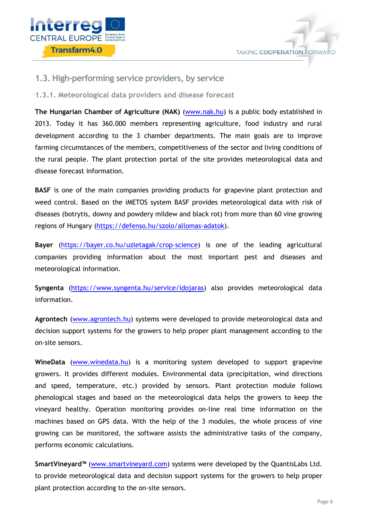



#### <span id="page-6-0"></span>**1.3. High-performing service providers, by service**

#### **1.3.1. Meteorological data providers and disease forecast**

**The Hungarian Chamber of Agriculture (NAK)** [\(www.nak.hu\)](http://www.nak.hu/) is a public body established in 2013. Today it has 360.000 members representing agriculture, food industry and rural development according to the 3 chamber departments. The main goals are to improve farming circumstances of the members, competitiveness of the sector and living conditions of the rural people. The plant protection portal of the site provides meteorological data and disease forecast information.

**BASF** is one of the main companies providing products for grapevine plant protection and weed control. Based on the iMETOS system BASF provides meteorological data with risk of diseases (botrytis, downy and powdery mildew and black rot) from more than 60 vine growing regions of Hungary [\(https://defenso.hu/szolo/allomas-adatok\)](https://defenso.hu/szolo/allomas-adatok).

**Bayer** [\(https://bayer.co.hu/uzletagak/crop-science\)](https://bayer.co.hu/uzletagak/crop-science) is one of the leading agricultural companies providing information about the most important pest and diseases and meteorological information.

**Syngenta** [\(https://www.syngenta.hu/service/idojaras\)](https://www.syngenta.hu/service/idojaras) also provides meteorological data information.

**Agrontech** [\(www.agrontech.hu\)](http://www.agrontech.hu/) systems were developed to provide meteorological data and decision support systems for the growers to help proper plant management according to the on-site sensors.

**WineData** [\(www.winedata.hu\)](http://www.winedata.hu/) is a monitoring system developed to support grapevine growers. It provides different modules. Environmental data (precipitation, wind directions and speed, temperature, etc.) provided by sensors. Plant protection module follows phenological stages and based on the meteorological data helps the growers to keep the vineyard healthy. Operation monitoring provides on-line real time information on the machines based on GPS data. With the help of the 3 modules, the whole process of vine growing can be monitored, the software assists the administrative tasks of the company, performs economic calculations.

**SmartVineyard™** [\(www.smartvineyard.com\)](http://www.smartvineyard.com/) systems were developed by the QuantisLabs Ltd. to provide meteorological data and decision support systems for the growers to help proper plant protection according to the on-site sensors.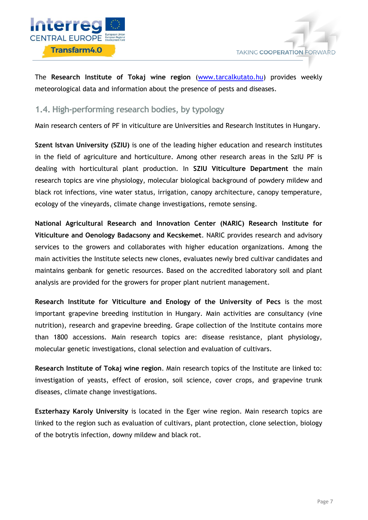

The **Research Institute of Tokaj wine region** [\(www.tarcalkutato.hu\)](http://www.tarcalkutato.hu/) provides weekly meteorological data and information about the presence of pests and diseases.

# <span id="page-7-0"></span>**1.4. High-performing research bodies, by typology**

Main research centers of PF in viticulture are Universities and Research Institutes in Hungary.

**Szent Istvan University (SZIU)** is one of the leading higher education and research institutes in the field of agriculture and horticulture. Among other research areas in the SzIU PF is dealing with horticultural plant production. In **SZIU Viticulture Department** the main research topics are vine physiology, molecular biological background of powdery mildew and black rot infections, vine water status, irrigation, canopy architecture, canopy temperature, ecology of the vineyards, climate change investigations, remote sensing.

**National Agricultural Research and Innovation Center (NARIC) Research Institute for Viticulture and Oenology Badacsony and Kecskemet**. NARIC provides research and advisory services to the growers and collaborates with higher education organizations. Among the main activities the Institute selects new clones, evaluates newly bred cultivar candidates and maintains genbank for genetic resources. Based on the accredited laboratory soil and plant analysis are provided for the growers for proper plant nutrient management.

**Research Institute for Viticulture and Enology of the University of Pecs** is the most important grapevine breeding institution in Hungary. Main activities are consultancy (vine nutrition), research and grapevine breeding. Grape collection of the Institute contains more than 1800 accessions. Main research topics are: disease resistance, plant physiology, molecular genetic investigations, clonal selection and evaluation of cultivars.

**Research Institute of Tokaj wine region**. Main research topics of the Institute are linked to: investigation of yeasts, effect of erosion, soil science, cover crops, and grapevine trunk diseases, climate change investigations.

**Eszterhazy Karoly University** is located in the Eger wine region. Main research topics are linked to the region such as evaluation of cultivars, plant protection, clone selection, biology of the botrytis infection, downy mildew and black rot.